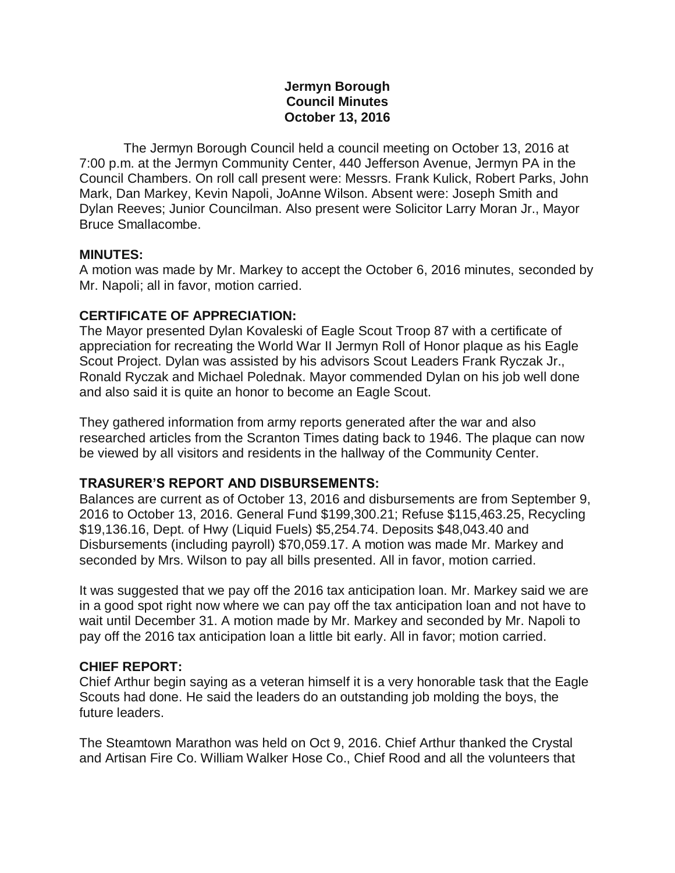### **Jermyn Borough Council Minutes October 13, 2016**

 The Jermyn Borough Council held a council meeting on October 13, 2016 at 7:00 p.m. at the Jermyn Community Center, 440 Jefferson Avenue, Jermyn PA in the Council Chambers. On roll call present were: Messrs. Frank Kulick, Robert Parks, John Mark, Dan Markey, Kevin Napoli, JoAnne Wilson. Absent were: Joseph Smith and Dylan Reeves; Junior Councilman. Also present were Solicitor Larry Moran Jr., Mayor Bruce Smallacombe.

#### **MINUTES:**

A motion was made by Mr. Markey to accept the October 6, 2016 minutes, seconded by Mr. Napoli; all in favor, motion carried.

### **CERTIFICATE OF APPRECIATION:**

The Mayor presented Dylan Kovaleski of Eagle Scout Troop 87 with a certificate of appreciation for recreating the World War II Jermyn Roll of Honor plaque as his Eagle Scout Project. Dylan was assisted by his advisors Scout Leaders Frank Ryczak Jr., Ronald Ryczak and Michael Polednak. Mayor commended Dylan on his job well done and also said it is quite an honor to become an Eagle Scout.

They gathered information from army reports generated after the war and also researched articles from the Scranton Times dating back to 1946. The plaque can now be viewed by all visitors and residents in the hallway of the Community Center.

# **TRASURER'S REPORT AND DISBURSEMENTS:**

Balances are current as of October 13, 2016 and disbursements are from September 9, 2016 to October 13, 2016. General Fund \$199,300.21; Refuse \$115,463.25, Recycling \$19,136.16, Dept. of Hwy (Liquid Fuels) \$5,254.74. Deposits \$48,043.40 and Disbursements (including payroll) \$70,059.17. A motion was made Mr. Markey and seconded by Mrs. Wilson to pay all bills presented. All in favor, motion carried.

It was suggested that we pay off the 2016 tax anticipation loan. Mr. Markey said we are in a good spot right now where we can pay off the tax anticipation loan and not have to wait until December 31. A motion made by Mr. Markey and seconded by Mr. Napoli to pay off the 2016 tax anticipation loan a little bit early. All in favor; motion carried.

### **CHIEF REPORT:**

Chief Arthur begin saying as a veteran himself it is a very honorable task that the Eagle Scouts had done. He said the leaders do an outstanding job molding the boys, the future leaders.

The Steamtown Marathon was held on Oct 9, 2016. Chief Arthur thanked the Crystal and Artisan Fire Co. William Walker Hose Co., Chief Rood and all the volunteers that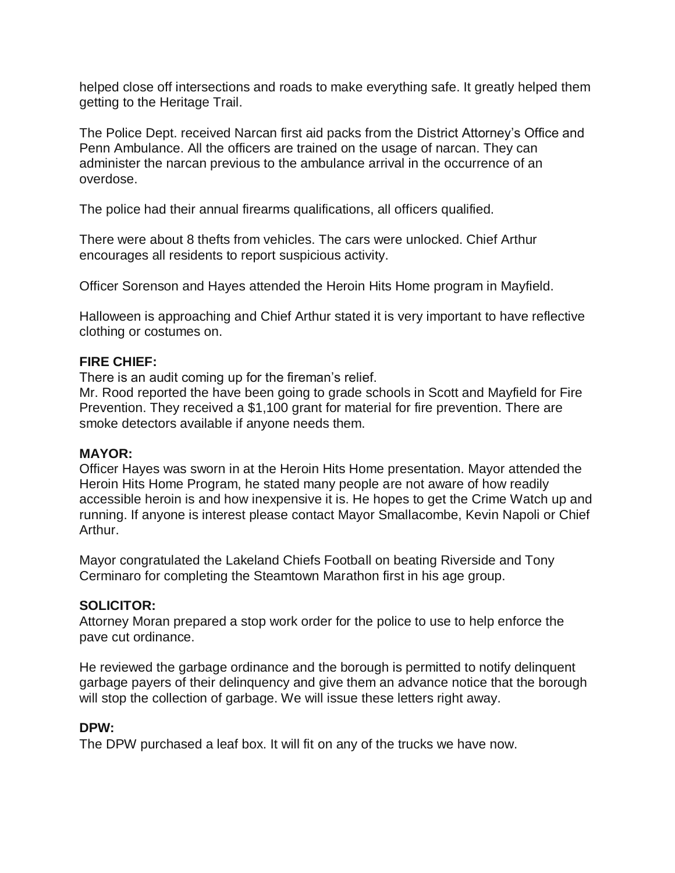helped close off intersections and roads to make everything safe. It greatly helped them getting to the Heritage Trail.

The Police Dept. received Narcan first aid packs from the District Attorney's Office and Penn Ambulance. All the officers are trained on the usage of narcan. They can administer the narcan previous to the ambulance arrival in the occurrence of an overdose.

The police had their annual firearms qualifications, all officers qualified.

There were about 8 thefts from vehicles. The cars were unlocked. Chief Arthur encourages all residents to report suspicious activity.

Officer Sorenson and Hayes attended the Heroin Hits Home program in Mayfield.

Halloween is approaching and Chief Arthur stated it is very important to have reflective clothing or costumes on.

#### **FIRE CHIEF:**

There is an audit coming up for the fireman's relief.

Mr. Rood reported the have been going to grade schools in Scott and Mayfield for Fire Prevention. They received a \$1,100 grant for material for fire prevention. There are smoke detectors available if anyone needs them.

#### **MAYOR:**

Officer Hayes was sworn in at the Heroin Hits Home presentation. Mayor attended the Heroin Hits Home Program, he stated many people are not aware of how readily accessible heroin is and how inexpensive it is. He hopes to get the Crime Watch up and running. If anyone is interest please contact Mayor Smallacombe, Kevin Napoli or Chief Arthur.

Mayor congratulated the Lakeland Chiefs Football on beating Riverside and Tony Cerminaro for completing the Steamtown Marathon first in his age group.

### **SOLICITOR:**

Attorney Moran prepared a stop work order for the police to use to help enforce the pave cut ordinance.

He reviewed the garbage ordinance and the borough is permitted to notify delinquent garbage payers of their delinquency and give them an advance notice that the borough will stop the collection of garbage. We will issue these letters right away.

### **DPW:**

The DPW purchased a leaf box. It will fit on any of the trucks we have now.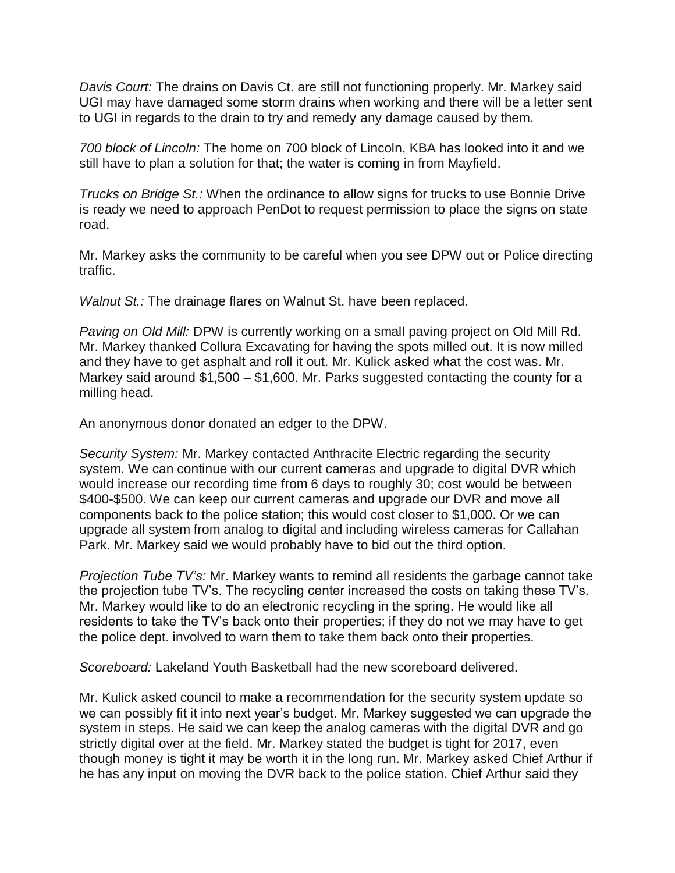*Davis Court:* The drains on Davis Ct. are still not functioning properly. Mr. Markey said UGI may have damaged some storm drains when working and there will be a letter sent to UGI in regards to the drain to try and remedy any damage caused by them.

*700 block of Lincoln:* The home on 700 block of Lincoln, KBA has looked into it and we still have to plan a solution for that; the water is coming in from Mayfield.

*Trucks on Bridge St.:* When the ordinance to allow signs for trucks to use Bonnie Drive is ready we need to approach PenDot to request permission to place the signs on state road.

Mr. Markey asks the community to be careful when you see DPW out or Police directing traffic.

*Walnut St.:* The drainage flares on Walnut St. have been replaced.

*Paving on Old Mill:* DPW is currently working on a small paving project on Old Mill Rd. Mr. Markey thanked Collura Excavating for having the spots milled out. It is now milled and they have to get asphalt and roll it out. Mr. Kulick asked what the cost was. Mr. Markey said around \$1,500 – \$1,600. Mr. Parks suggested contacting the county for a milling head.

An anonymous donor donated an edger to the DPW.

*Security System:* Mr. Markey contacted Anthracite Electric regarding the security system. We can continue with our current cameras and upgrade to digital DVR which would increase our recording time from 6 days to roughly 30; cost would be between \$400-\$500. We can keep our current cameras and upgrade our DVR and move all components back to the police station; this would cost closer to \$1,000. Or we can upgrade all system from analog to digital and including wireless cameras for Callahan Park. Mr. Markey said we would probably have to bid out the third option.

*Projection Tube TV's:* Mr. Markey wants to remind all residents the garbage cannot take the projection tube TV's. The recycling center increased the costs on taking these TV's. Mr. Markey would like to do an electronic recycling in the spring. He would like all residents to take the TV's back onto their properties; if they do not we may have to get the police dept. involved to warn them to take them back onto their properties.

*Scoreboard:* Lakeland Youth Basketball had the new scoreboard delivered.

Mr. Kulick asked council to make a recommendation for the security system update so we can possibly fit it into next year's budget. Mr. Markey suggested we can upgrade the system in steps. He said we can keep the analog cameras with the digital DVR and go strictly digital over at the field. Mr. Markey stated the budget is tight for 2017, even though money is tight it may be worth it in the long run. Mr. Markey asked Chief Arthur if he has any input on moving the DVR back to the police station. Chief Arthur said they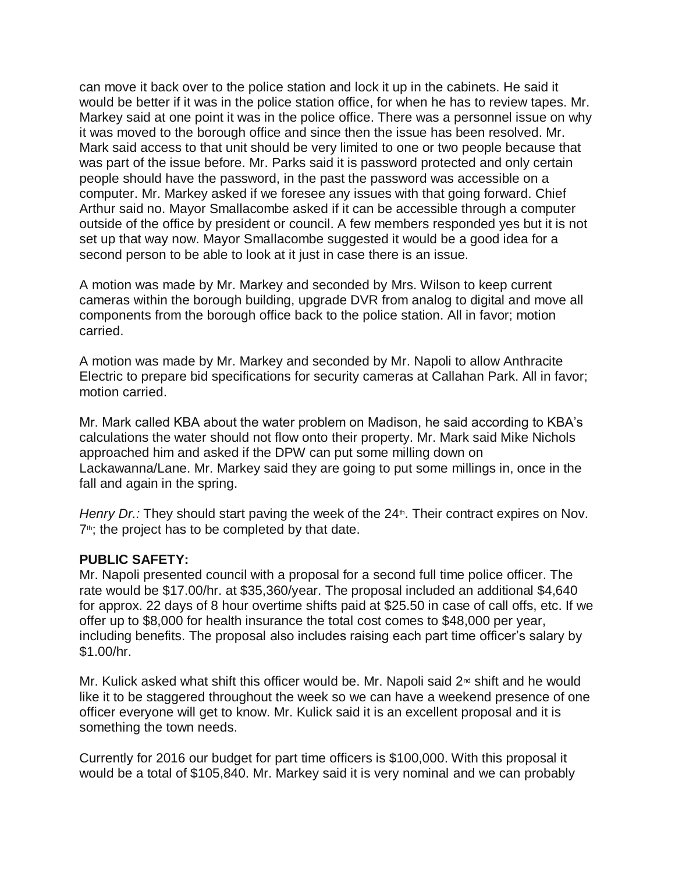can move it back over to the police station and lock it up in the cabinets. He said it would be better if it was in the police station office, for when he has to review tapes. Mr. Markey said at one point it was in the police office. There was a personnel issue on why it was moved to the borough office and since then the issue has been resolved. Mr. Mark said access to that unit should be very limited to one or two people because that was part of the issue before. Mr. Parks said it is password protected and only certain people should have the password, in the past the password was accessible on a computer. Mr. Markey asked if we foresee any issues with that going forward. Chief Arthur said no. Mayor Smallacombe asked if it can be accessible through a computer outside of the office by president or council. A few members responded yes but it is not set up that way now. Mayor Smallacombe suggested it would be a good idea for a second person to be able to look at it just in case there is an issue.

A motion was made by Mr. Markey and seconded by Mrs. Wilson to keep current cameras within the borough building, upgrade DVR from analog to digital and move all components from the borough office back to the police station. All in favor; motion carried.

A motion was made by Mr. Markey and seconded by Mr. Napoli to allow Anthracite Electric to prepare bid specifications for security cameras at Callahan Park. All in favor; motion carried.

Mr. Mark called KBA about the water problem on Madison, he said according to KBA's calculations the water should not flow onto their property. Mr. Mark said Mike Nichols approached him and asked if the DPW can put some milling down on Lackawanna/Lane. Mr. Markey said they are going to put some millings in, once in the fall and again in the spring.

*Henry Dr.:* They should start paving the week of the 24<sup>th</sup>. Their contract expires on Nov.  $7<sup>th</sup>$ ; the project has to be completed by that date.

### **PUBLIC SAFETY:**

Mr. Napoli presented council with a proposal for a second full time police officer. The rate would be \$17.00/hr. at \$35,360/year. The proposal included an additional \$4,640 for approx. 22 days of 8 hour overtime shifts paid at \$25.50 in case of call offs, etc. If we offer up to \$8,000 for health insurance the total cost comes to \$48,000 per year, including benefits. The proposal also includes raising each part time officer's salary by \$1.00/hr.

Mr. Kulick asked what shift this officer would be. Mr. Napoli said  $2<sup>nd</sup>$  shift and he would like it to be staggered throughout the week so we can have a weekend presence of one officer everyone will get to know. Mr. Kulick said it is an excellent proposal and it is something the town needs.

Currently for 2016 our budget for part time officers is \$100,000. With this proposal it would be a total of \$105,840. Mr. Markey said it is very nominal and we can probably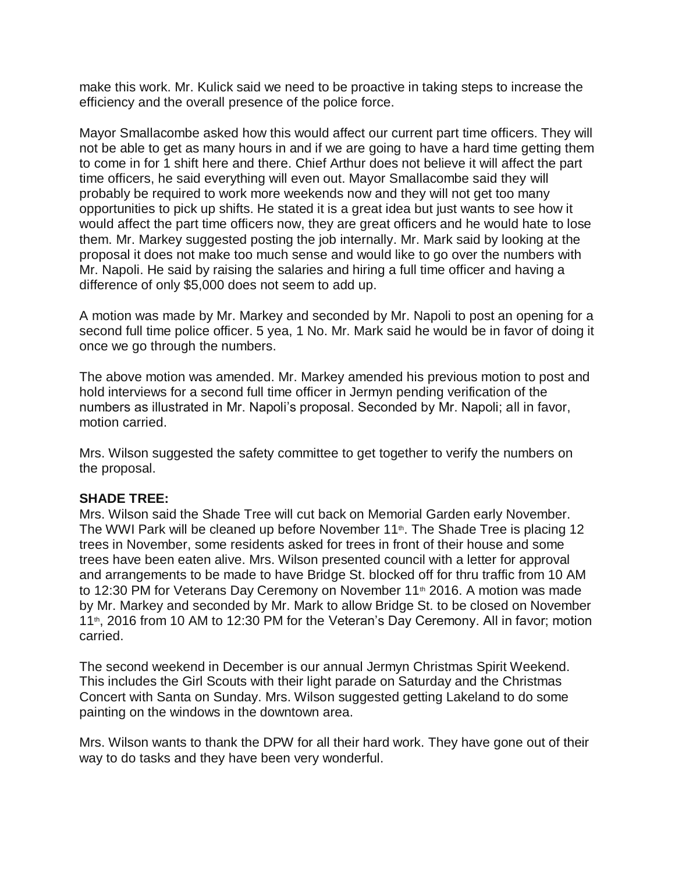make this work. Mr. Kulick said we need to be proactive in taking steps to increase the efficiency and the overall presence of the police force.

Mayor Smallacombe asked how this would affect our current part time officers. They will not be able to get as many hours in and if we are going to have a hard time getting them to come in for 1 shift here and there. Chief Arthur does not believe it will affect the part time officers, he said everything will even out. Mayor Smallacombe said they will probably be required to work more weekends now and they will not get too many opportunities to pick up shifts. He stated it is a great idea but just wants to see how it would affect the part time officers now, they are great officers and he would hate to lose them. Mr. Markey suggested posting the job internally. Mr. Mark said by looking at the proposal it does not make too much sense and would like to go over the numbers with Mr. Napoli. He said by raising the salaries and hiring a full time officer and having a difference of only \$5,000 does not seem to add up.

A motion was made by Mr. Markey and seconded by Mr. Napoli to post an opening for a second full time police officer. 5 yea, 1 No. Mr. Mark said he would be in favor of doing it once we go through the numbers.

The above motion was amended. Mr. Markey amended his previous motion to post and hold interviews for a second full time officer in Jermyn pending verification of the numbers as illustrated in Mr. Napoli's proposal. Seconded by Mr. Napoli; all in favor, motion carried.

Mrs. Wilson suggested the safety committee to get together to verify the numbers on the proposal.

### **SHADE TREE:**

Mrs. Wilson said the Shade Tree will cut back on Memorial Garden early November. The WWI Park will be cleaned up before November 11<sup>th</sup>. The Shade Tree is placing 12 trees in November, some residents asked for trees in front of their house and some trees have been eaten alive. Mrs. Wilson presented council with a letter for approval and arrangements to be made to have Bridge St. blocked off for thru traffic from 10 AM to 12:30 PM for Veterans Day Ceremony on November  $11<sup>th</sup>$  2016. A motion was made by Mr. Markey and seconded by Mr. Mark to allow Bridge St. to be closed on November 11<sup>th</sup>, 2016 from 10 AM to 12:30 PM for the Veteran's Day Ceremony. All in favor; motion carried.

The second weekend in December is our annual Jermyn Christmas Spirit Weekend. This includes the Girl Scouts with their light parade on Saturday and the Christmas Concert with Santa on Sunday. Mrs. Wilson suggested getting Lakeland to do some painting on the windows in the downtown area.

Mrs. Wilson wants to thank the DPW for all their hard work. They have gone out of their way to do tasks and they have been very wonderful.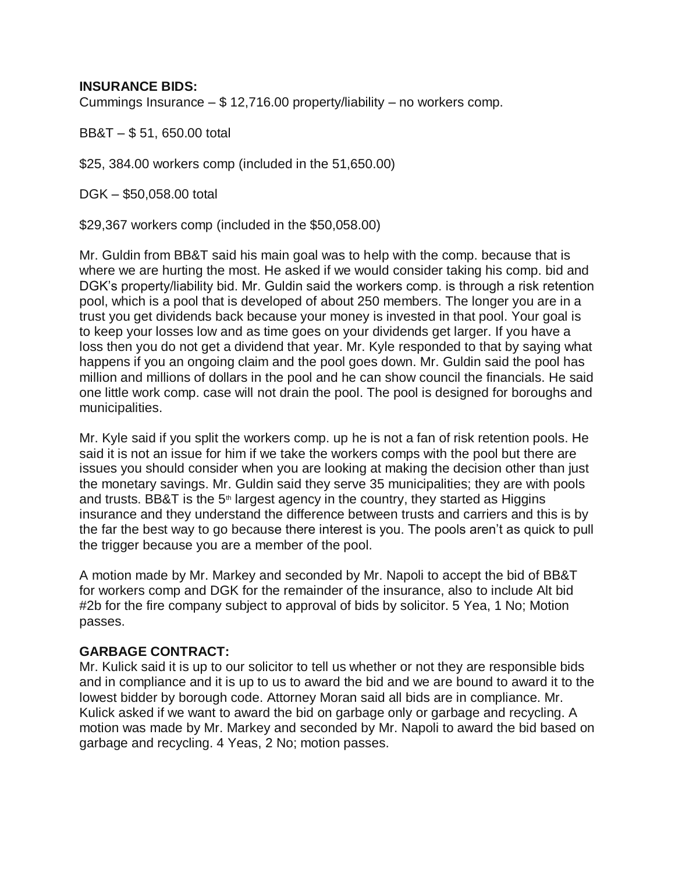### **INSURANCE BIDS:**

Cummings Insurance – \$ 12,716.00 property/liability – no workers comp.

BB&T – \$ 51, 650.00 total

\$25, 384.00 workers comp (included in the 51,650.00)

DGK – \$50,058.00 total

\$29,367 workers comp (included in the \$50,058.00)

Mr. Guldin from BB&T said his main goal was to help with the comp. because that is where we are hurting the most. He asked if we would consider taking his comp. bid and DGK's property/liability bid. Mr. Guldin said the workers comp. is through a risk retention pool, which is a pool that is developed of about 250 members. The longer you are in a trust you get dividends back because your money is invested in that pool. Your goal is to keep your losses low and as time goes on your dividends get larger. If you have a loss then you do not get a dividend that year. Mr. Kyle responded to that by saying what happens if you an ongoing claim and the pool goes down. Mr. Guldin said the pool has million and millions of dollars in the pool and he can show council the financials. He said one little work comp. case will not drain the pool. The pool is designed for boroughs and municipalities.

Mr. Kyle said if you split the workers comp. up he is not a fan of risk retention pools. He said it is not an issue for him if we take the workers comps with the pool but there are issues you should consider when you are looking at making the decision other than just the monetary savings. Mr. Guldin said they serve 35 municipalities; they are with pools and trusts. BB&T is the  $5<sup>th</sup>$  largest agency in the country, they started as Higgins insurance and they understand the difference between trusts and carriers and this is by the far the best way to go because there interest is you. The pools aren't as quick to pull the trigger because you are a member of the pool.

A motion made by Mr. Markey and seconded by Mr. Napoli to accept the bid of BB&T for workers comp and DGK for the remainder of the insurance, also to include Alt bid #2b for the fire company subject to approval of bids by solicitor. 5 Yea, 1 No; Motion passes.

### **GARBAGE CONTRACT:**

Mr. Kulick said it is up to our solicitor to tell us whether or not they are responsible bids and in compliance and it is up to us to award the bid and we are bound to award it to the lowest bidder by borough code. Attorney Moran said all bids are in compliance. Mr. Kulick asked if we want to award the bid on garbage only or garbage and recycling. A motion was made by Mr. Markey and seconded by Mr. Napoli to award the bid based on garbage and recycling. 4 Yeas, 2 No; motion passes.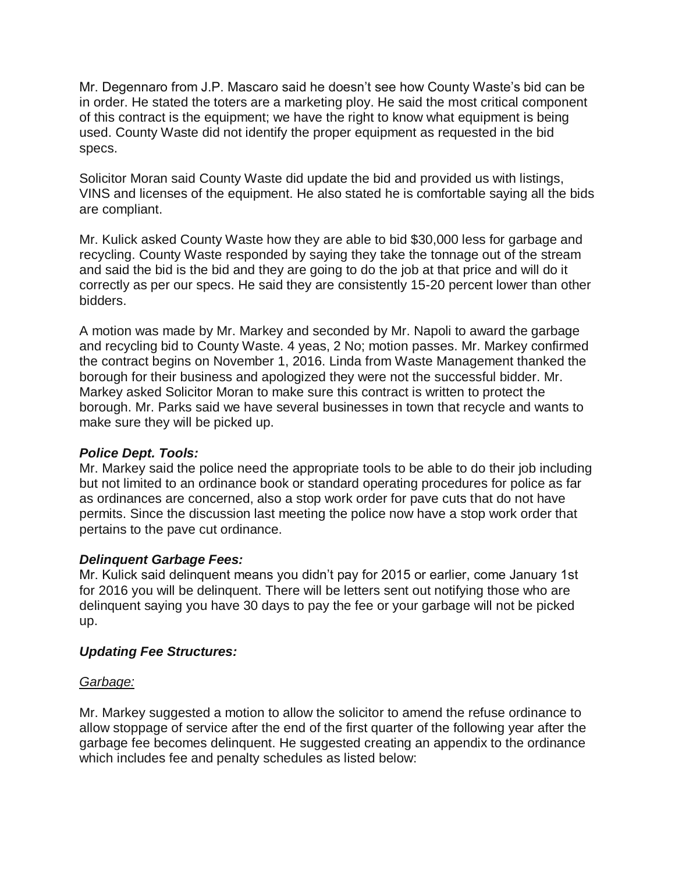Mr. Degennaro from J.P. Mascaro said he doesn't see how County Waste's bid can be in order. He stated the toters are a marketing ploy. He said the most critical component of this contract is the equipment; we have the right to know what equipment is being used. County Waste did not identify the proper equipment as requested in the bid specs.

Solicitor Moran said County Waste did update the bid and provided us with listings, VINS and licenses of the equipment. He also stated he is comfortable saying all the bids are compliant.

Mr. Kulick asked County Waste how they are able to bid \$30,000 less for garbage and recycling. County Waste responded by saying they take the tonnage out of the stream and said the bid is the bid and they are going to do the job at that price and will do it correctly as per our specs. He said they are consistently 15-20 percent lower than other bidders.

A motion was made by Mr. Markey and seconded by Mr. Napoli to award the garbage and recycling bid to County Waste. 4 yeas, 2 No; motion passes. Mr. Markey confirmed the contract begins on November 1, 2016. Linda from Waste Management thanked the borough for their business and apologized they were not the successful bidder. Mr. Markey asked Solicitor Moran to make sure this contract is written to protect the borough. Mr. Parks said we have several businesses in town that recycle and wants to make sure they will be picked up.

# *Police Dept. Tools:*

Mr. Markey said the police need the appropriate tools to be able to do their job including but not limited to an ordinance book or standard operating procedures for police as far as ordinances are concerned, also a stop work order for pave cuts that do not have permits. Since the discussion last meeting the police now have a stop work order that pertains to the pave cut ordinance.

### *Delinquent Garbage Fees:*

Mr. Kulick said delinquent means you didn't pay for 2015 or earlier, come January 1st for 2016 you will be delinquent. There will be letters sent out notifying those who are delinquent saying you have 30 days to pay the fee or your garbage will not be picked up.

### *Updating Fee Structures:*

### *Garbage:*

Mr. Markey suggested a motion to allow the solicitor to amend the refuse ordinance to allow stoppage of service after the end of the first quarter of the following year after the garbage fee becomes delinquent. He suggested creating an appendix to the ordinance which includes fee and penalty schedules as listed below: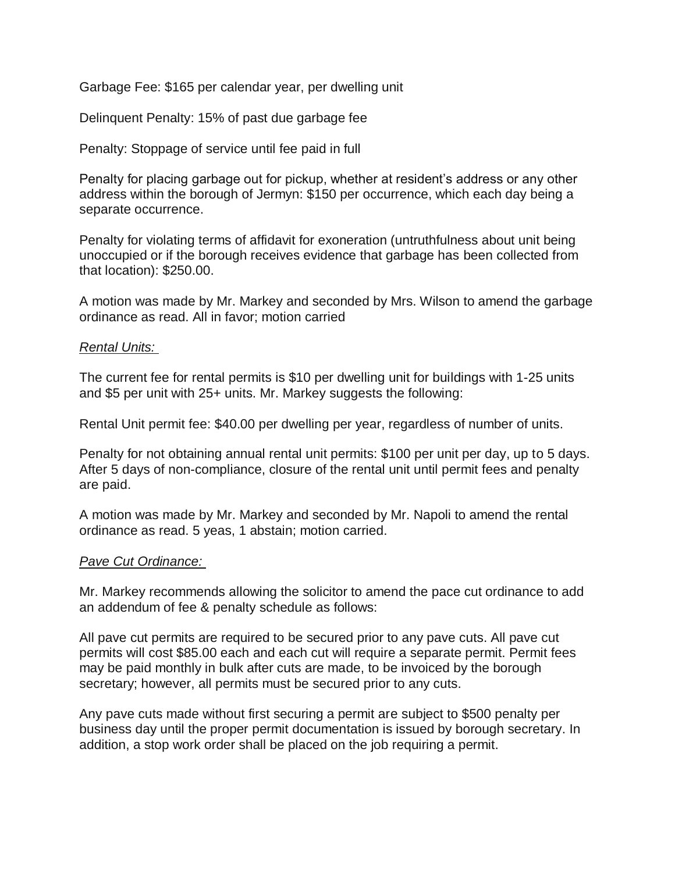Garbage Fee: \$165 per calendar year, per dwelling unit

Delinquent Penalty: 15% of past due garbage fee

Penalty: Stoppage of service until fee paid in full

Penalty for placing garbage out for pickup, whether at resident's address or any other address within the borough of Jermyn: \$150 per occurrence, which each day being a separate occurrence.

Penalty for violating terms of affidavit for exoneration (untruthfulness about unit being unoccupied or if the borough receives evidence that garbage has been collected from that location): \$250.00.

A motion was made by Mr. Markey and seconded by Mrs. Wilson to amend the garbage ordinance as read. All in favor; motion carried

#### *Rental Units:*

The current fee for rental permits is \$10 per dwelling unit for buildings with 1-25 units and \$5 per unit with 25+ units. Mr. Markey suggests the following:

Rental Unit permit fee: \$40.00 per dwelling per year, regardless of number of units.

Penalty for not obtaining annual rental unit permits: \$100 per unit per day, up to 5 days. After 5 days of non-compliance, closure of the rental unit until permit fees and penalty are paid.

A motion was made by Mr. Markey and seconded by Mr. Napoli to amend the rental ordinance as read. 5 yeas, 1 abstain; motion carried.

#### *Pave Cut Ordinance:*

Mr. Markey recommends allowing the solicitor to amend the pace cut ordinance to add an addendum of fee & penalty schedule as follows:

All pave cut permits are required to be secured prior to any pave cuts. All pave cut permits will cost \$85.00 each and each cut will require a separate permit. Permit fees may be paid monthly in bulk after cuts are made, to be invoiced by the borough secretary; however, all permits must be secured prior to any cuts.

Any pave cuts made without first securing a permit are subject to \$500 penalty per business day until the proper permit documentation is issued by borough secretary. In addition, a stop work order shall be placed on the job requiring a permit.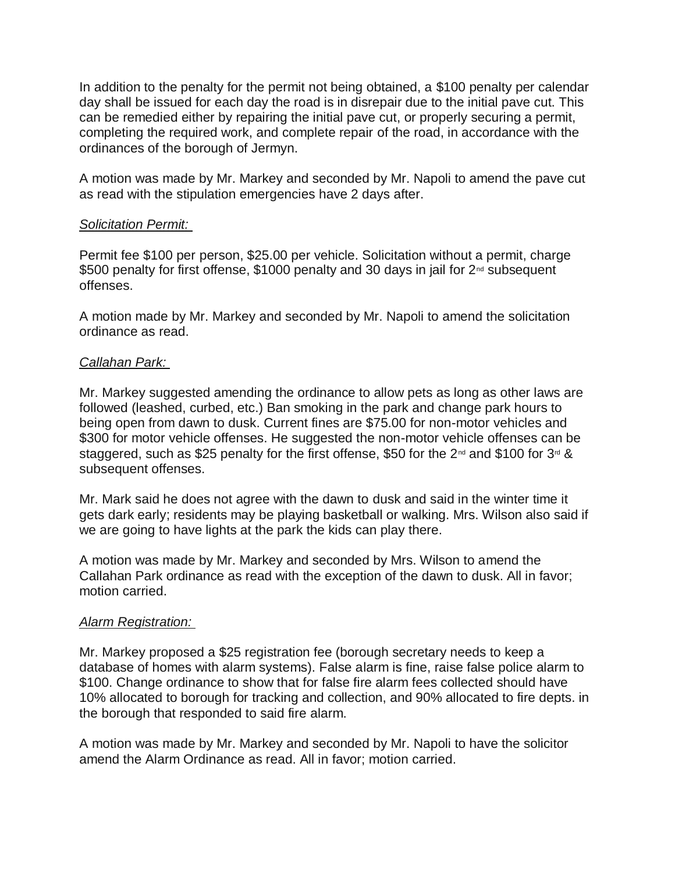In addition to the penalty for the permit not being obtained, a \$100 penalty per calendar day shall be issued for each day the road is in disrepair due to the initial pave cut. This can be remedied either by repairing the initial pave cut, or properly securing a permit, completing the required work, and complete repair of the road, in accordance with the ordinances of the borough of Jermyn.

A motion was made by Mr. Markey and seconded by Mr. Napoli to amend the pave cut as read with the stipulation emergencies have 2 days after.

### *Solicitation Permit:*

Permit fee \$100 per person, \$25.00 per vehicle. Solicitation without a permit, charge \$500 penalty for first offense, \$1000 penalty and 30 days in jail for  $2^{nd}$  subsequent offenses.

A motion made by Mr. Markey and seconded by Mr. Napoli to amend the solicitation ordinance as read.

### *Callahan Park:*

Mr. Markey suggested amending the ordinance to allow pets as long as other laws are followed (leashed, curbed, etc.) Ban smoking in the park and change park hours to being open from dawn to dusk. Current fines are \$75.00 for non-motor vehicles and \$300 for motor vehicle offenses. He suggested the non-motor vehicle offenses can be staggered, such as \$25 penalty for the first offense, \$50 for the  $2^{nd}$  and \$100 for  $3^{rd}$  & subsequent offenses.

Mr. Mark said he does not agree with the dawn to dusk and said in the winter time it gets dark early; residents may be playing basketball or walking. Mrs. Wilson also said if we are going to have lights at the park the kids can play there.

A motion was made by Mr. Markey and seconded by Mrs. Wilson to amend the Callahan Park ordinance as read with the exception of the dawn to dusk. All in favor; motion carried.

### *Alarm Registration:*

Mr. Markey proposed a \$25 registration fee (borough secretary needs to keep a database of homes with alarm systems). False alarm is fine, raise false police alarm to \$100. Change ordinance to show that for false fire alarm fees collected should have 10% allocated to borough for tracking and collection, and 90% allocated to fire depts. in the borough that responded to said fire alarm.

A motion was made by Mr. Markey and seconded by Mr. Napoli to have the solicitor amend the Alarm Ordinance as read. All in favor; motion carried.